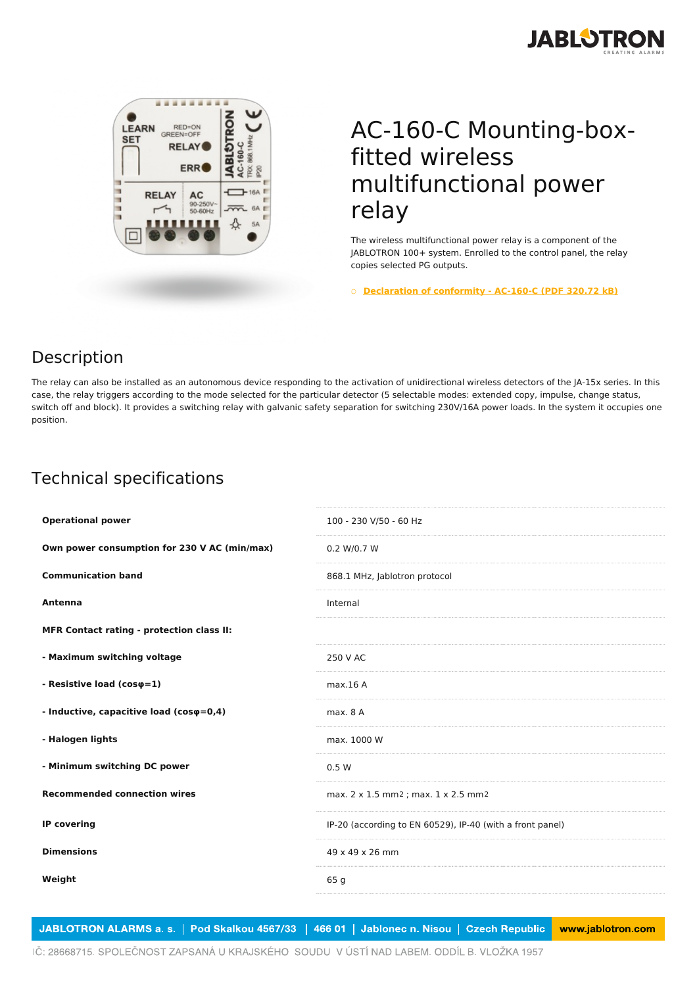



## AC-160-C Mounting-boxfitted wireless multifunctional power relay

The wireless multifunctional power relay is a component of the JABLOTRON 100+ system. Enrolled to the control panel, the relay copies selected PG outputs.

○ **[Declaration](https://www.jablotron.com/en/template/product/512/?file=0&jt_id=20617&hash=e5KerE&do=downloadCertificate) of conformity - AC-160-C (PDF 320.72 kB)**

## Description

The relay can also be installed as an autonomous device responding to the activation of unidirectional wireless detectors of the JA-15x series. In this case, the relay triggers according to the mode selected for the particular detector (5 selectable modes: extended copy, impulse, change status, switch off and block). It provides a switching relay with galvanic safety separation for switching 230V/16A power loads. In the system it occupies one position.

## Technical specifications

| <b>Operational power</b>                         | 100 - 230 V/50 - 60 Hz                                    |
|--------------------------------------------------|-----------------------------------------------------------|
| Own power consumption for 230 V AC (min/max)     | 0.2 W/0.7 W                                               |
| <b>Communication band</b>                        | 868.1 MHz, Jablotron protocol                             |
| Antenna                                          | Internal                                                  |
| <b>MFR Contact rating - protection class II:</b> |                                                           |
| - Maximum switching voltage                      | 250 V AC                                                  |
| - Resistive load ( $cos\varphi=1$ )              | max.16A                                                   |
| - Inductive, capacitive load (coso=0,4)          | max. 8A                                                   |
| - Halogen lights                                 | max. 1000 W                                               |
| - Minimum switching DC power                     | 0.5 W                                                     |
| <b>Recommended connection wires</b>              | max. 2 x 1.5 mm2 ; max. 1 x 2.5 mm2                       |
| <b>IP covering</b>                               | IP-20 (according to EN 60529), IP-40 (with a front panel) |
| <b>Dimensions</b>                                | 49 x 49 x 26 mm                                           |
| Weight                                           | 65 <sub>q</sub>                                           |
|                                                  |                                                           |

JABLOTRON ALARMS a. s. | Pod Skalkou 4567/33 | 466 01 | Jablonec n. Nisou | Czech Republic www.jablotron.com

IČ: 28668715. SPOLEČNOST ZAPSANÁ U KRAJSKÉHO SOUDU V ÚSTÍ NAD LABEM. ODDÍL B. VLOŽKA 1957